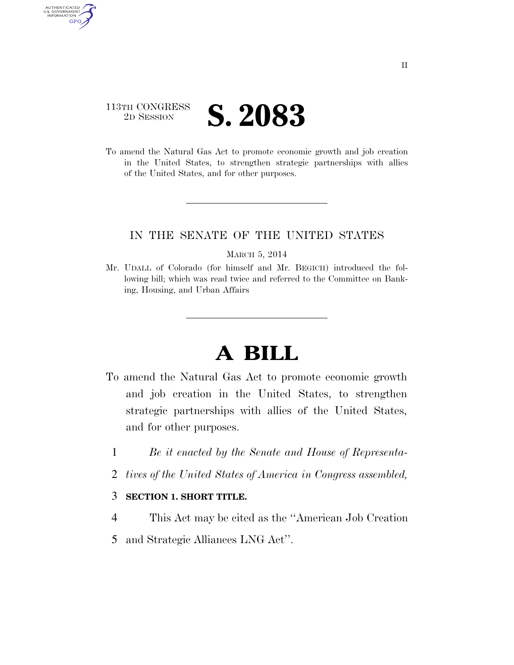# 113TH CONGRESS <sup>2D SESSION</sup> **S. 2083**

AUTHENTICATED<br>U.S. GOVERNMENT<br>INFORMATION GPO

> To amend the Natural Gas Act to promote economic growth and job creation in the United States, to strengthen strategic partnerships with allies of the United States, and for other purposes.

## IN THE SENATE OF THE UNITED STATES

#### MARCH 5, 2014

Mr. UDALL of Colorado (for himself and Mr. BEGICH) introduced the following bill; which was read twice and referred to the Committee on Banking, Housing, and Urban Affairs

# **A BILL**

- To amend the Natural Gas Act to promote economic growth and job creation in the United States, to strengthen strategic partnerships with allies of the United States, and for other purposes.
	- 1 *Be it enacted by the Senate and House of Representa-*
	- 2 *tives of the United States of America in Congress assembled,*

### 3 **SECTION 1. SHORT TITLE.**

- 4 This Act may be cited as the ''American Job Creation
- 5 and Strategic Alliances LNG Act''.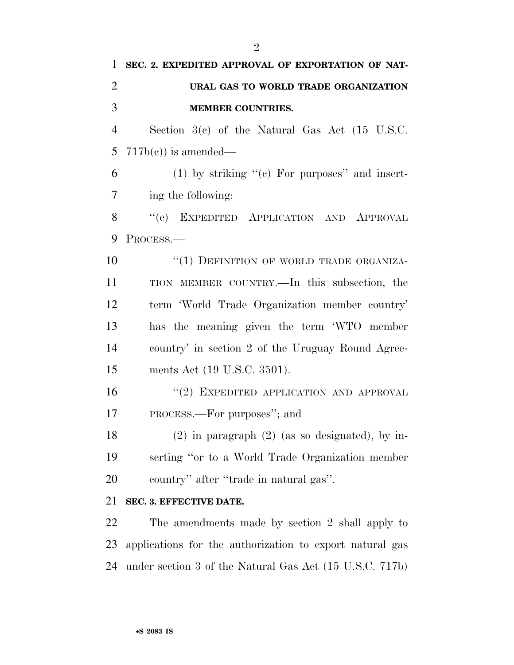| 1              | SEC. 2. EXPEDITED APPROVAL OF EXPORTATION OF NAT-        |
|----------------|----------------------------------------------------------|
| $\overline{2}$ | URAL GAS TO WORLD TRADE ORGANIZATION                     |
| 3              | <b>MEMBER COUNTRIES.</b>                                 |
| $\overline{4}$ | Section $3(c)$ of the Natural Gas Act (15 U.S.C.         |
| 5              | $717b(c)$ is amended—                                    |
| 6              | $(1)$ by striking " $(e)$ For purposes" and insert-      |
| 7              | ing the following:                                       |
| 8              | "(c) EXPEDITED APPLICATION AND APPROVAL                  |
| 9              | PROCESS.                                                 |
| 10             | "(1) DEFINITION OF WORLD TRADE ORGANIZA-                 |
| 11             | TION MEMBER COUNTRY.—In this subsection, the             |
| 12             | term 'World Trade Organization member country'           |
| 13             | has the meaning given the term 'WTO member               |
| 14             | country' in section 2 of the Uruguay Round Agree-        |
| 15             | ments Act (19 U.S.C. 3501).                              |
| 16             | "(2) EXPEDITED APPLICATION AND APPROVAL                  |
| 17             | PROCESS.—For purposes"; and                              |
| 18             | $(2)$ in paragraph $(2)$ (as so designated), by in-      |
| 19             | serting "or to a World Trade Organization member         |
| 20             | country" after "trade in natural gas".                   |
| 21             | SEC. 3. EFFECTIVE DATE.                                  |
| 22             | The amendments made by section 2 shall apply to          |
| 23             | applications for the authorization to export natural gas |

under section 3 of the Natural Gas Act (15 U.S.C. 717b)